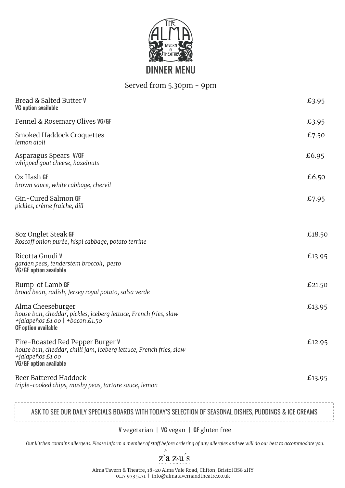

## Served from 5.30pm - 9pm

| Bread & Salted Butter V<br><b>VG option available</b>                                                                                                        | £3.95  |  |  |
|--------------------------------------------------------------------------------------------------------------------------------------------------------------|--------|--|--|
| Fennel & Rosemary Olives VG/GF                                                                                                                               | £3.95  |  |  |
| Smoked Haddock Croquettes<br>lemon aioli                                                                                                                     | £7.50  |  |  |
| Asparagus Spears V/GF<br>whipped goat cheese, hazelnuts                                                                                                      | £6.95  |  |  |
| Ox Hash <b>GF</b><br>brown sauce, white cabbage, chervil                                                                                                     | £6.50  |  |  |
| Gin-Cured Salmon GF<br>pickles, crème fraîche, dill                                                                                                          | £7.95  |  |  |
| 8oz Onglet Steak GF<br>Roscoff onion purée, hispi cabbage, potato terrine                                                                                    | £18.50 |  |  |
| Ricotta Gnudi V<br>garden peas, tenderstem broccoli, pesto<br><b>VG/GF option available</b>                                                                  | £13.95 |  |  |
| Rump of Lamb GF<br>broad bean, radish, Jersey royal potato, salsa verde                                                                                      | £21.50 |  |  |
| Alma Cheeseburger<br>house bun, cheddar, pickles, iceberg lettuce, French fries, slaw<br>+jalapeños £1.00 + bacon £1.50<br><b>GF</b> option available        | £13.95 |  |  |
| Fire-Roasted Red Pepper Burger V<br>house bun, cheddar, chilli jam, iceberg lettuce, French fries, slaw<br>+jalapeños £1.00<br><b>VG/GF</b> option available | £12.95 |  |  |
| Beer Battered Haddock<br>triple-cooked chips, mushy peas, tartare sauce, lemon                                                                               | £13.95 |  |  |
| ASK TO SEE OUR DAILY SPECIALS BOARDS WITH TODAY'S SELECTION OF SEASONAL DISHES, PUDDINGS & ICE CREAMS                                                        |        |  |  |

V vegetarian | VG vegan | GF gluten free

*Our kitchen contains allergens. Please inform a member of staff before ordering of any allergies and we will do our best to accommodate you.*